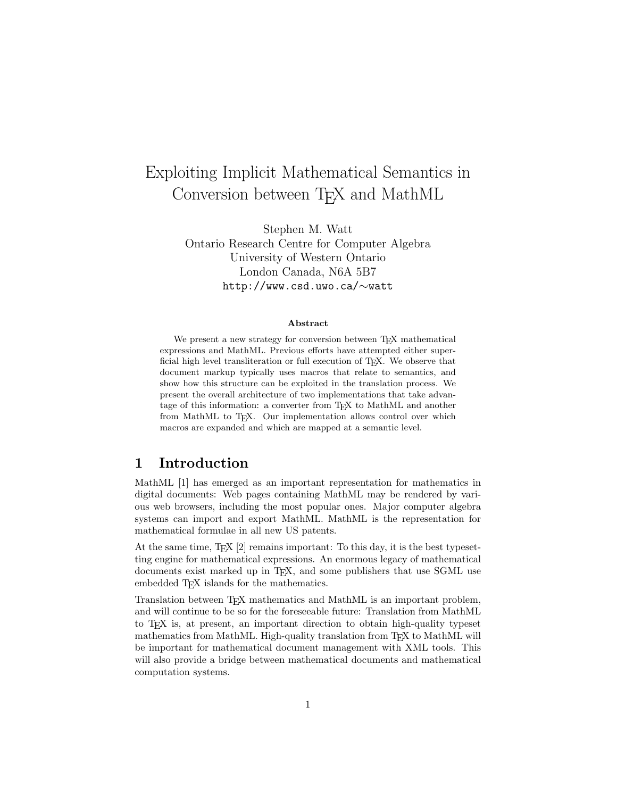# Exploiting Implicit Mathematical Semantics in Conversion between T<sub>F</sub>X and MathML

Stephen M. Watt Ontario Research Centre for Computer Algebra University of Western Ontario London Canada, N6A 5B7 http://www.csd.uwo.ca/∼watt

#### Abstract

We present a new strategy for conversion between T<sub>EX</sub> mathematical expressions and MathML. Previous efforts have attempted either superficial high level transliteration or full execution of  $T_F X$ . We observe that document markup typically uses macros that relate to semantics, and show how this structure can be exploited in the translation process. We present the overall architecture of two implementations that take advantage of this information: a converter from TEX to MathML and another from MathML to T<sub>E</sub>X. Our implementation allows control over which macros are expanded and which are mapped at a semantic level.

## 1 Introduction

MathML [1] has emerged as an important representation for mathematics in digital documents: Web pages containing MathML may be rendered by various web browsers, including the most popular ones. Major computer algebra systems can import and export MathML. MathML is the representation for mathematical formulae in all new US patents.

At the same time,  $TFX [2]$  remains important: To this day, it is the best typesetting engine for mathematical expressions. An enormous legacy of mathematical documents exist marked up in TEX, and some publishers that use SGML use embedded T<sub>E</sub>X islands for the mathematics.

Translation between T<sub>E</sub>X mathematics and MathML is an important problem, and will continue to be so for the foreseeable future: Translation from MathML to TEX is, at present, an important direction to obtain high-quality typeset mathematics from MathML. High-quality translation from T<sub>E</sub>X to MathML will be important for mathematical document management with XML tools. This will also provide a bridge between mathematical documents and mathematical computation systems.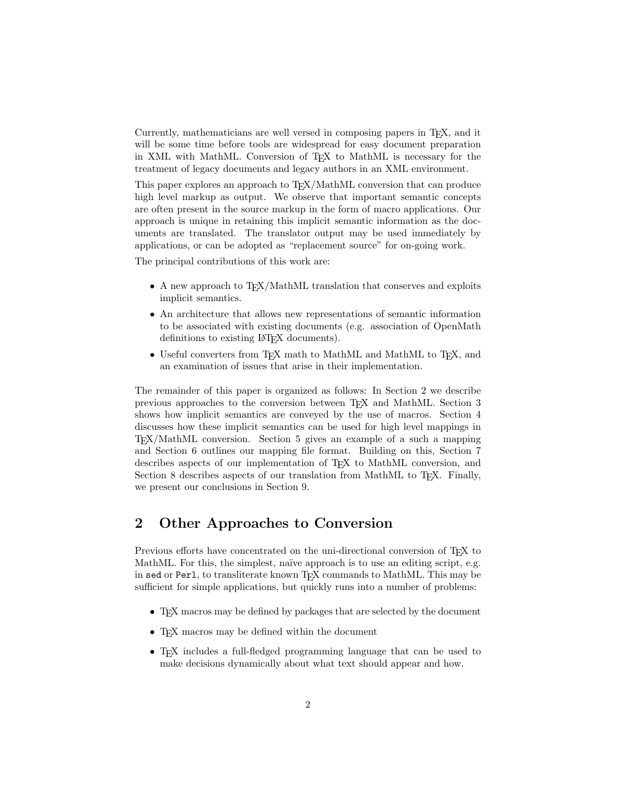Currently, mathematicians are well versed in composing papers in T<sub>E</sub>X, and it will be some time before tools are widespread for easy document preparation in XML with MathML. Conversion of TEX to MathML is necessary for the treatment of legacy documents and legacy authors in an XML environment.

This paper explores an approach to TEX/MathML conversion that can produce high level markup as output. We observe that important semantic concepts are often present in the source markup in the form of macro applications. Our approach is unique in retaining this implicit semantic information as the documents are translated. The translator output may be used immediately by applications, or can be adopted as "replacement source" for on-going work.

The principal contributions of this work are:

- A new approach to T<sub>EX</sub>/MathML translation that conserves and exploits implicit semantics.
- An architecture that allows new representations of semantic information to be associated with existing documents (e.g. association of OpenMath definitions to existing LAT<sub>EX</sub> documents).
- Useful converters from TEX math to MathML and MathML to TEX, and an examination of issues that arise in their implementation.

The remainder of this paper is organized as follows: In Section 2 we describe previous approaches to the conversion between TEX and MathML. Section 3 shows how implicit semantics are conveyed by the use of macros. Section 4 discusses how these implicit semantics can be used for high level mappings in TEX/MathML conversion. Section 5 gives an example of a such a mapping and Section 6 outlines our mapping file format. Building on this, Section 7 describes aspects of our implementation of T<sub>E</sub>X to MathML conversion, and Section 8 describes aspects of our translation from MathML to T<sub>E</sub>X. Finally, we present our conclusions in Section 9.

### 2 Other Approaches to Conversion

Previous efforts have concentrated on the uni-directional conversion of TEX to MathML. For this, the simplest, naïve approach is to use an editing script, e.g. in sed or Perl, to transliterate known TFX commands to MathML. This may be sufficient for simple applications, but quickly runs into a number of problems:

- T<sub>EX</sub> macros may be defined by packages that are selected by the document
- TEX macros may be defined within the document
- T<sub>EX</sub> includes a full-fledged programming language that can be used to make decisions dynamically about what text should appear and how.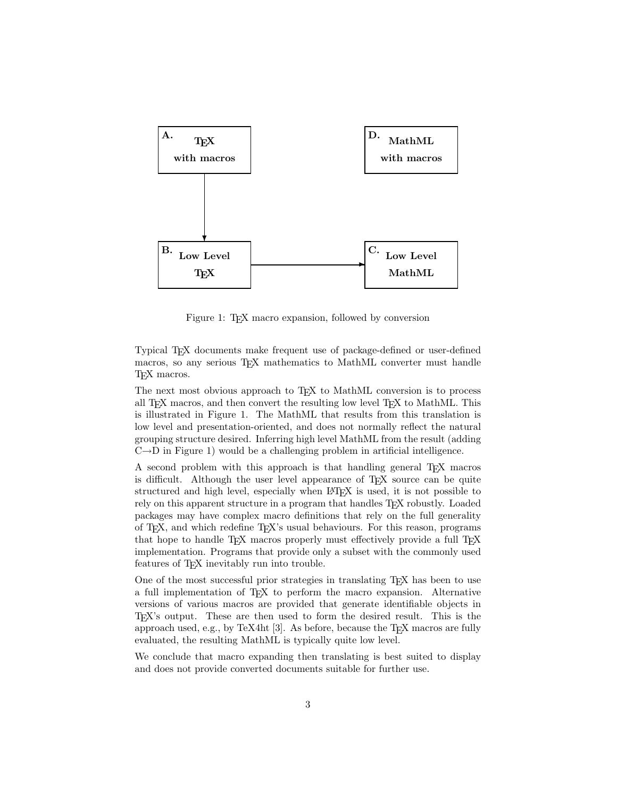

Figure 1: T<sub>E</sub>X macro expansion, followed by conversion

Typical TEX documents make frequent use of package-defined or user-defined macros, so any serious TEX mathematics to MathML converter must handle TEX macros.

The next most obvious approach to T<sub>EX</sub> to MathML conversion is to process all TEX macros, and then convert the resulting low level TEX to MathML. This is illustrated in Figure 1. The MathML that results from this translation is low level and presentation-oriented, and does not normally reflect the natural grouping structure desired. Inferring high level MathML from the result (adding  $C\rightarrow D$  in Figure 1) would be a challenging problem in artificial intelligence.

A second problem with this approach is that handling general T<sub>E</sub>X macros is difficult. Although the user level appearance of T<sub>E</sub>X source can be quite structured and high level, especially when LATEX is used, it is not possible to rely on this apparent structure in a program that handles TFX robustly. Loaded packages may have complex macro definitions that rely on the full generality of T<sub>E</sub>X, and which redefine T<sub>E</sub>X's usual behaviours. For this reason, programs that hope to handle T<sub>EX</sub> macros properly must effectively provide a full T<sub>EX</sub> implementation. Programs that provide only a subset with the commonly used features of TEX inevitably run into trouble.

One of the most successful prior strategies in translating T<sub>E</sub>X has been to use a full implementation of TEX to perform the macro expansion. Alternative versions of various macros are provided that generate identifiable objects in TEX's output. These are then used to form the desired result. This is the approach used, e.g., by TeX4ht [3]. As before, because the  $T_{F}X$  macros are fully evaluated, the resulting MathML is typically quite low level.

We conclude that macro expanding then translating is best suited to display and does not provide converted documents suitable for further use.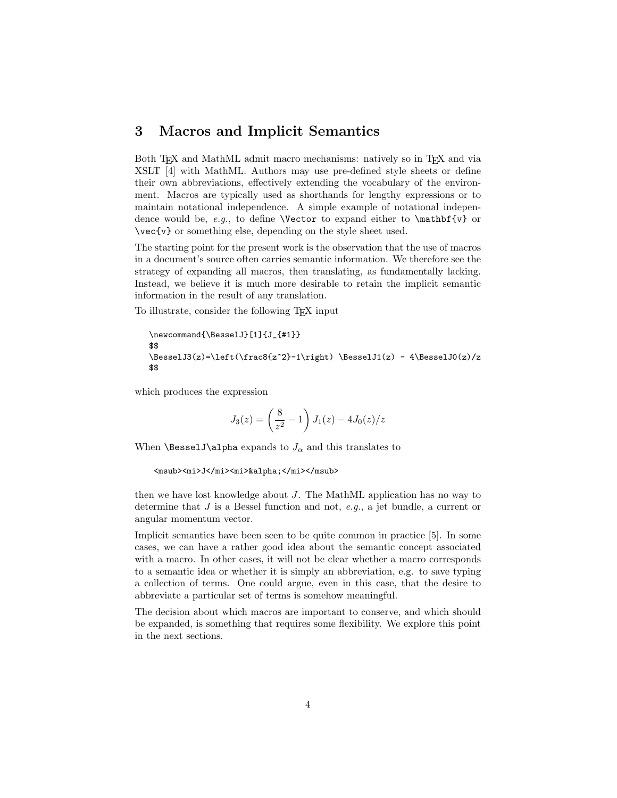### 3 Macros and Implicit Semantics

Both T<sub>EX</sub> and MathML admit macro mechanisms: natively so in T<sub>EX</sub> and via XSLT [4] with MathML. Authors may use pre-defined style sheets or define their own abbreviations, effectively extending the vocabulary of the environment. Macros are typically used as shorthands for lengthy expressions or to maintain notational independence. A simple example of notational independence would be, e.g., to define **\Vector** to expand either to **\mathbf{v}** or \vec{v} or something else, depending on the style sheet used.

The starting point for the present work is the observation that the use of macros in a document's source often carries semantic information. We therefore see the strategy of expanding all macros, then translating, as fundamentally lacking. Instead, we believe it is much more desirable to retain the implicit semantic information in the result of any translation.

To illustrate, consider the following TEX input

```
\newcommand{\BesselJ}[1]{J_{#1}}
$$
\BesselJ3(z)=\left(\frac{z^2}-1\right) \BesselJ1(z) - 4\BesselJ0(z)/z$$
```
which produces the expression

$$
J_3(z) = \left(\frac{8}{z^2} - 1\right) J_1(z) - 4J_0(z)/z
$$

When **\BesselJ\alpha** expands to  $J_{\alpha}$  and this translates to

```
<msub><mi>J</mi><mi>&alpha;</mi></msub>
```
then we have lost knowledge about J. The MathML application has no way to determine that J is a Bessel function and not, e.g., a jet bundle, a current or angular momentum vector.

Implicit semantics have been seen to be quite common in practice [5]. In some cases, we can have a rather good idea about the semantic concept associated with a macro. In other cases, it will not be clear whether a macro corresponds to a semantic idea or whether it is simply an abbreviation, e.g. to save typing a collection of terms. One could argue, even in this case, that the desire to abbreviate a particular set of terms is somehow meaningful.

The decision about which macros are important to conserve, and which should be expanded, is something that requires some flexibility. We explore this point in the next sections.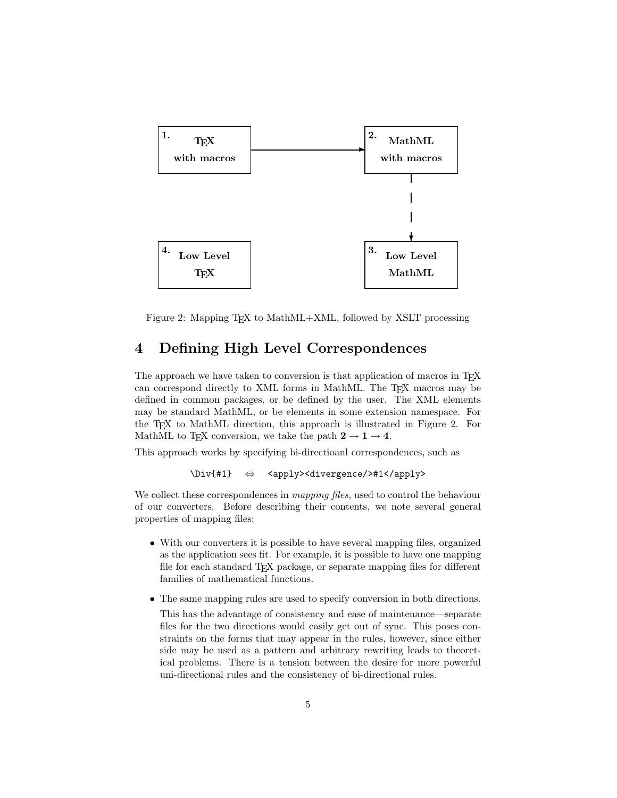

Figure 2: Mapping T<sub>E</sub>X to MathML+XML, followed by XSLT processing

## 4 Defining High Level Correspondences

The approach we have taken to conversion is that application of macros in TEX can correspond directly to XML forms in MathML. The T<sub>E</sub>X macros may be defined in common packages, or be defined by the user. The XML elements may be standard MathML, or be elements in some extension namespace. For the T<sub>EX</sub> to MathML direction, this approach is illustrated in Figure 2. For MathML to TFX conversion, we take the path  $2 \rightarrow 1 \rightarrow 4$ .

This approach works by specifying bi-directioanl correspondences, such as

```
\Div{#1} ⇔ <apply><divergence/>#1</apply>
```
We collect these correspondences in *mapping files*, used to control the behaviour of our converters. Before describing their contents, we note several general properties of mapping files:

- With our converters it is possible to have several mapping files, organized as the application sees fit. For example, it is possible to have one mapping file for each standard T<sub>EX</sub> package, or separate mapping files for different families of mathematical functions.
- The same mapping rules are used to specify conversion in both directions.

This has the advantage of consistency and ease of maintenance—separate files for the two directions would easily get out of sync. This poses constraints on the forms that may appear in the rules, however, since either side may be used as a pattern and arbitrary rewriting leads to theoretical problems. There is a tension between the desire for more powerful uni-directional rules and the consistency of bi-directional rules.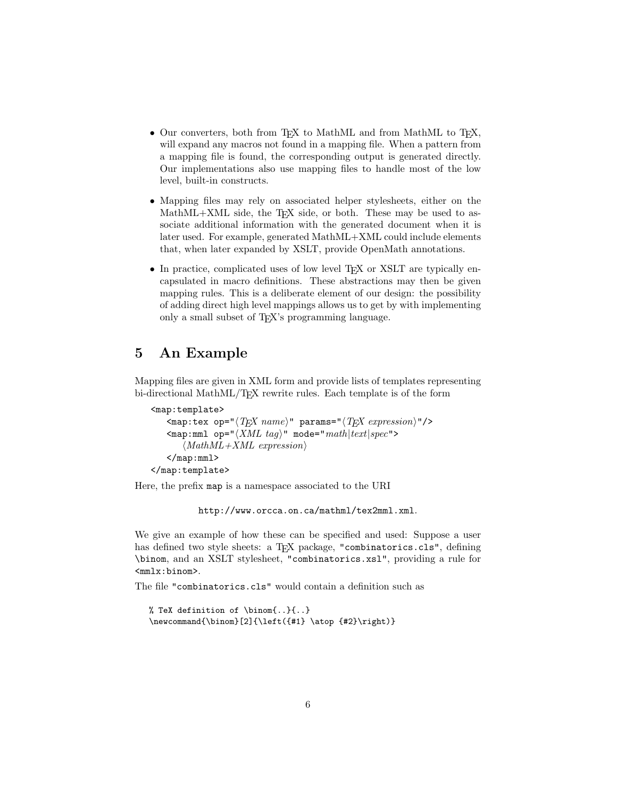- Our converters, both from TEX to MathML and from MathML to TEX, will expand any macros not found in a mapping file. When a pattern from a mapping file is found, the corresponding output is generated directly. Our implementations also use mapping files to handle most of the low level, built-in constructs.
- Mapping files may rely on associated helper stylesheets, either on the MathML+XML side, the T<sub>E</sub>X side, or both. These may be used to associate additional information with the generated document when it is later used. For example, generated MathML+XML could include elements that, when later expanded by XSLT, provide OpenMath annotations.
- In practice, complicated uses of low level T<sub>EX</sub> or XSLT are typically encapsulated in macro definitions. These abstractions may then be given mapping rules. This is a deliberate element of our design: the possibility of adding direct high level mappings allows us to get by with implementing only a small subset of TEX's programming language.

## 5 An Example

Mapping files are given in XML form and provide lists of templates representing bi-directional MathML/T<sub>E</sub>X rewrite rules. Each template is of the form

```
<map:template>
     \langle \text{map:tex} \rangle ="\langle T_F X \text{ name} \rangle" params="\langle T_F X \text{ expression} \rangle"/>
     \texttt{<map:mm1} op="\langle XML\ tag \rangle" mode="math|text|set|spec">
          \langle MathML+XML expression)
     </map:mml>
</map:template>
```
Here, the prefix map is a namespace associated to the URI

http://www.orcca.on.ca/mathml/tex2mml.xml.

We give an example of how these can be specified and used: Suppose a user has defined two style sheets: a T<sub>E</sub>X package, "combinatorics.cls", defining \binom, and an XSLT stylesheet, "combinatorics.xsl", providing a rule for <mmlx:binom>.

The file "combinatorics.cls" would contain a definition such as

```
% TeX definition of \binom{..}{..}
\newcommand{\binom}[2]{\left({#1} \atop {#2}\right)}
```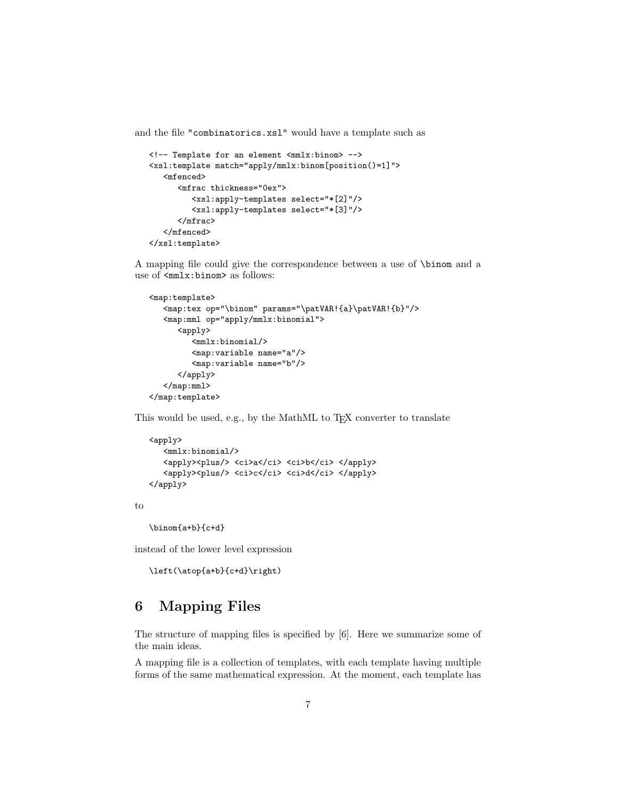and the file "combinatorics.xsl" would have a template such as

```
<!-- Template for an element <mmlx:binom> -->
<xsl:template match="apply/mmlx:binom[position()=1]">
   <mfenced>
      <mfrac thickness="0ex">
         <xsl:apply-templates select="*[2]"/>
         <xsl:apply-templates select="*[3]"/>
      </mfrac>
   </mfenced>
</xsl:template>
```
A mapping file could give the correspondence between a use of \binom and a use of  $\texttt{}$  as follows:

```
<map:template>
   <map:tex op="\binom" params="\patVAR!{a}\patVAR!{b}"/>
   <map:mml op="apply/mmlx:binomial">
      <apply>
         <mmlx:binomial/>
         <map:variable name="a"/>
         <map:variable name="b"/>
      </apply>
   </map:mml>
</map:template>
```
This would be used, e.g., by the MathML to T<sub>E</sub>X converter to translate

```
<apply>
   <mmlx:binomial/>
   <apply><plus/> <ci>a</ci> <ci>b</ci> </apply>
   <apply><plus/></ci><ci></ci></apply></apply>
</apply>
```
to

```
\binom{a+b}{c+d}
```
instead of the lower level expression

```
\left(\atop{a+b}{c+d}\right)
```
## 6 Mapping Files

The structure of mapping files is specified by [6]. Here we summarize some of the main ideas.

A mapping file is a collection of templates, with each template having multiple forms of the same mathematical expression. At the moment, each template has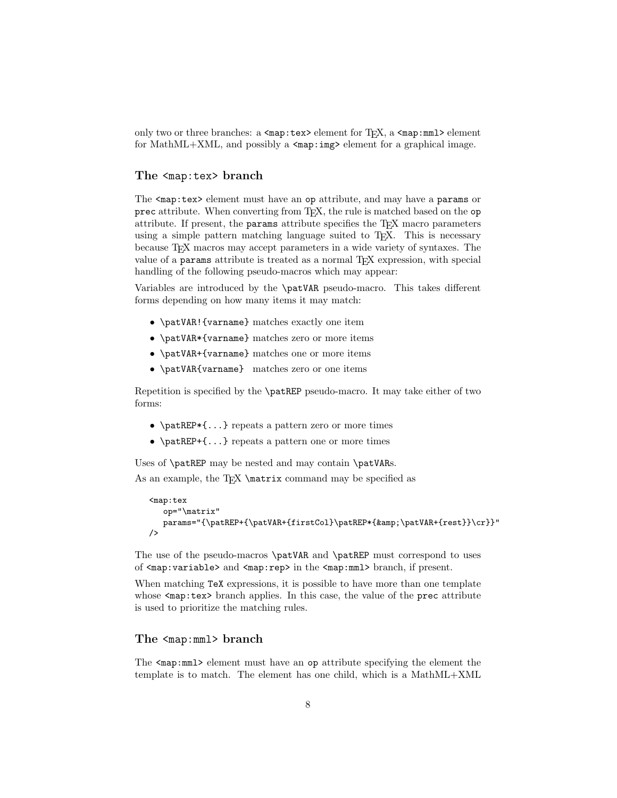only two or three branches: a  $\langle \text{map:tex}\rangle$  element for T<sub>E</sub>X, a  $\langle \text{map:m}$ 1> element for MathML+XML, and possibly a  $\langle \text{map:img} \rangle$  element for a graphical image.

#### The <map:tex> branch

The <map:tex> element must have an op attribute, and may have a params or prec attribute. When converting from T<sub>E</sub>X, the rule is matched based on the op attribute. If present, the params attribute specifies the TEX macro parameters using a simple pattern matching language suited to T<sub>E</sub>X. This is necessary because TEX macros may accept parameters in a wide variety of syntaxes. The value of a params attribute is treated as a normal T<sub>E</sub>X expression, with special handling of the following pseudo-macros which may appear:

Variables are introduced by the \patVAR pseudo-macro. This takes different forms depending on how many items it may match:

- \patVAR!{varname} matches exactly one item
- \patVAR\*{varname} matches zero or more items
- \patVAR+{varname} matches one or more items
- \patVAR{varname} matches zero or one items

Repetition is specified by the \patREP pseudo-macro. It may take either of two forms:

- \patREP\*{...} repeats a pattern zero or more times
- $\pat{F+}, \$  repeats a pattern one or more times

Uses of **\patREP** may be nested and may contain **\patVARs.** 

As an example, the  $T_{\text{K}}$  \matrix command may be specified as

```
<map:tex
  op="\matrix"
  params="{\patREP+{\patVAR+{firstCol}\patREP*{&\patVAR+{rest}}\cr}}"
/>
```
The use of the pseudo-macros \patVAR and \patREP must correspond to uses of <map:variable> and <map:rep> in the <map:mml> branch, if present.

When matching TeX expressions, it is possible to have more than one template whose  $\langle \text{map:tex} \rangle$  branch applies. In this case, the value of the prec attribute is used to prioritize the matching rules.

#### The <map:mml> branch

The <map:mml> element must have an op attribute specifying the element the template is to match. The element has one child, which is a MathML+XML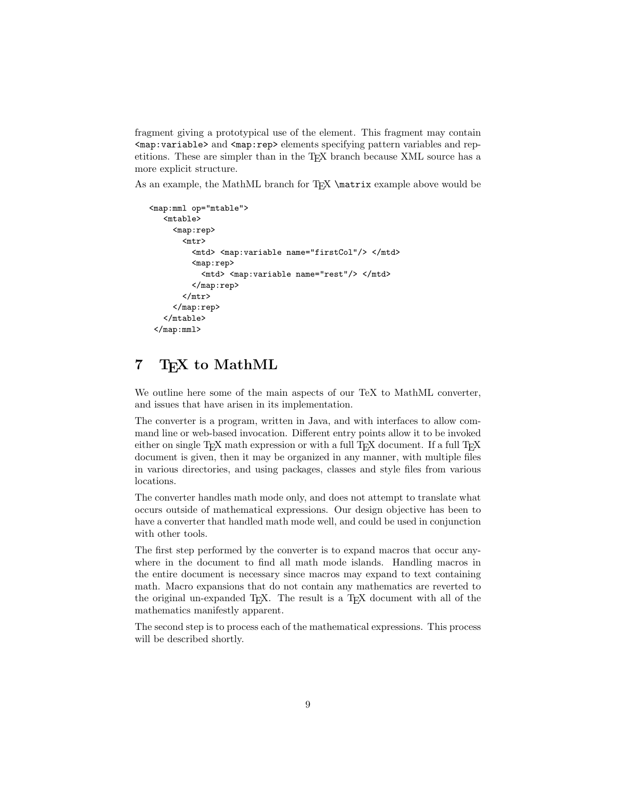fragment giving a prototypical use of the element. This fragment may contain <map:variable> and <map:rep> elements specifying pattern variables and repetitions. These are simpler than in the TEX branch because XML source has a more explicit structure.

As an example, the MathML branch for TEX \matrix example above would be

```
<map:mml op="mtable">
  <mtable>
     <map:rep>
       <mtr>
         <mtd> <map:variable name="firstCol"/> </mtd>
         <map:rep>
           <mtd> <map:variable name="rest"/> </mtd>
         </map:rep>
       </mtr>
     </map:rep>
  </mtable>
 </map:mml>
```
## 7 T<sub>F</sub>X to MathML

We outline here some of the main aspects of our TeX to MathML converter, and issues that have arisen in its implementation.

The converter is a program, written in Java, and with interfaces to allow command line or web-based invocation. Different entry points allow it to be invoked either on single  $T_F X$  math expression or with a full  $T_F X$  document. If a full  $T_F X$ document is given, then it may be organized in any manner, with multiple files in various directories, and using packages, classes and style files from various locations.

The converter handles math mode only, and does not attempt to translate what occurs outside of mathematical expressions. Our design objective has been to have a converter that handled math mode well, and could be used in conjunction with other tools.

The first step performed by the converter is to expand macros that occur anywhere in the document to find all math mode islands. Handling macros in the entire document is necessary since macros may expand to text containing math. Macro expansions that do not contain any mathematics are reverted to the original un-expanded TEX. The result is a TEX document with all of the mathematics manifestly apparent.

The second step is to process each of the mathematical expressions. This process will be described shortly.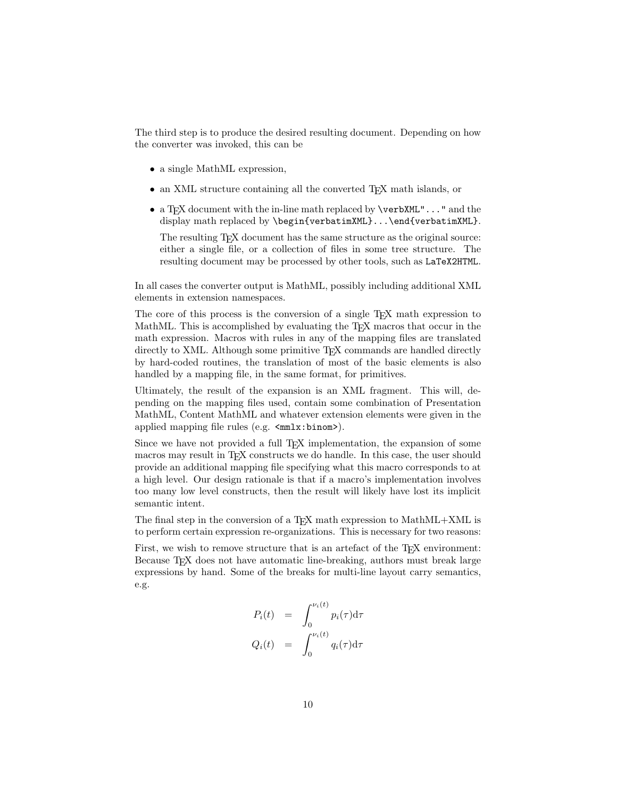The third step is to produce the desired resulting document. Depending on how the converter was invoked, this can be

- a single MathML expression,
- an XML structure containing all the converted T<sub>E</sub>X math islands, or
- a T<sub>E</sub>X document with the in-line math replaced by  $\verbXML$ "..." and the display math replaced by \begin{verbatimXML}...\end{verbatimXML}.

The resulting T<sub>E</sub>X document has the same structure as the original source: either a single file, or a collection of files in some tree structure. The resulting document may be processed by other tools, such as LaTeX2HTML.

In all cases the converter output is MathML, possibly including additional XML elements in extension namespaces.

The core of this process is the conversion of a single T<sub>E</sub>X math expression to MathML. This is accomplished by evaluating the T<sub>EX</sub> macros that occur in the math expression. Macros with rules in any of the mapping files are translated directly to XML. Although some primitive TEX commands are handled directly by hard-coded routines, the translation of most of the basic elements is also handled by a mapping file, in the same format, for primitives.

Ultimately, the result of the expansion is an XML fragment. This will, depending on the mapping files used, contain some combination of Presentation MathML, Content MathML and whatever extension elements were given in the applied mapping file rules (e.g.  $\text{cm} \times \text{cm}$ x:binom>).

Since we have not provided a full T<sub>E</sub>X implementation, the expansion of some macros may result in TEX constructs we do handle. In this case, the user should provide an additional mapping file specifying what this macro corresponds to at a high level. Our design rationale is that if a macro's implementation involves too many low level constructs, then the result will likely have lost its implicit semantic intent.

The final step in the conversion of a TEX math expression to MathML+XML is to perform certain expression re-organizations. This is necessary for two reasons:

First, we wish to remove structure that is an artefact of the TEX environment: Because TEX does not have automatic line-breaking, authors must break large expressions by hand. Some of the breaks for multi-line layout carry semantics, e.g.

$$
P_i(t) = \int_0^{\nu_i(t)} p_i(\tau) d\tau
$$
  

$$
Q_i(t) = \int_0^{\nu_i(t)} q_i(\tau) d\tau
$$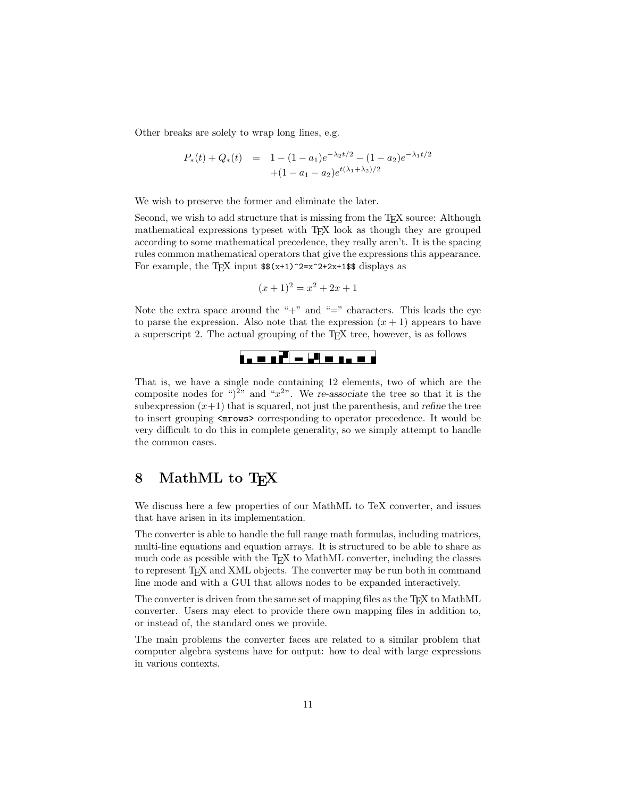Other breaks are solely to wrap long lines, e.g.

$$
P_*(t) + Q_*(t) = 1 - (1 - a_1)e^{-\lambda_2 t/2} - (1 - a_2)e^{-\lambda_1 t/2} + (1 - a_1 - a_2)e^{t(\lambda_1 + \lambda_2)/2}
$$

We wish to preserve the former and eliminate the later.

Second, we wish to add structure that is missing from the T<sub>E</sub>X source: Although mathematical expressions typeset with TEX look as though they are grouped according to some mathematical precedence, they really aren't. It is the spacing rules common mathematical operators that give the expressions this appearance. For example, the TEX input  $\$(x+1)^2 = x^2 + 2x + 1$  is displays as

$$
(x+1)^2 = x^2 + 2x + 1
$$

Note the extra space around the " $+$ " and " $=$ " characters. This leads the eye to parse the expression. Also note that the expression  $(x + 1)$  appears to have a superscript 2. The actual grouping of the TEX tree, however, is as follows

# <u>ta u si<sup>n</sup> w 21 u sa u s</u>

That is, we have a single node containing 12 elements, two of which are the composite nodes for " $)^{2n}$  and " $x^{2n}$ . We re-associate the tree so that it is the subexpression  $(x+1)$  that is squared, not just the parenthesis, and refine the tree to insert grouping <mrows> corresponding to operator precedence. It would be very difficult to do this in complete generality, so we simply attempt to handle the common cases.

## 8 MathML to T<sub>F</sub>X

We discuss here a few properties of our MathML to TeX converter, and issues that have arisen in its implementation.

The converter is able to handle the full range math formulas, including matrices, multi-line equations and equation arrays. It is structured to be able to share as much code as possible with the T<sub>E</sub>X to MathML converter, including the classes to represent T<sub>E</sub>X and XML objects. The converter may be run both in command line mode and with a GUI that allows nodes to be expanded interactively.

The converter is driven from the same set of mapping files as the T<sub>E</sub>X to MathML converter. Users may elect to provide there own mapping files in addition to, or instead of, the standard ones we provide.

The main problems the converter faces are related to a similar problem that computer algebra systems have for output: how to deal with large expressions in various contexts.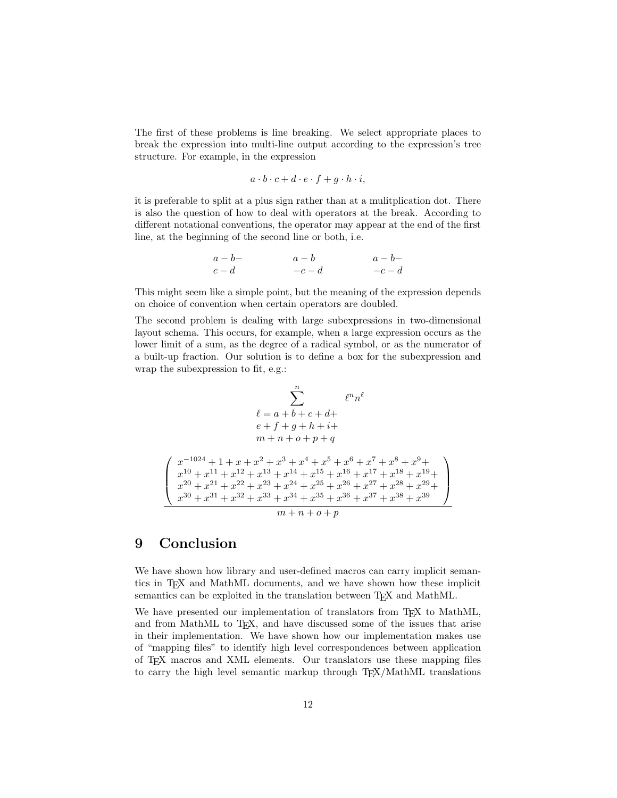The first of these problems is line breaking. We select appropriate places to break the expression into multi-line output according to the expression's tree structure. For example, in the expression

$$
a \cdot b \cdot c + d \cdot e \cdot f + g \cdot h \cdot i,
$$

it is preferable to split at a plus sign rather than at a mulitplication dot. There is also the question of how to deal with operators at the break. According to different notational conventions, the operator may appear at the end of the first line, at the beginning of the second line or both, i.e.

$$
\begin{array}{ccc} a-b- &\phantom{aa}a-b &\phantom{aa}a-b- \\ c-d &\phantom{aa}c-d &\phantom{aa}c-d \end{array}
$$

This might seem like a simple point, but the meaning of the expression depends on choice of convention when certain operators are doubled.

The second problem is dealing with large subexpressions in two-dimensional layout schema. This occurs, for example, when a large expression occurs as the lower limit of a sum, as the degree of a radical symbol, or as the numerator of a built-up fraction. Our solution is to define a box for the subexpression and wrap the subexpression to fit, e.g.:

$$
\begin{array}{c} \sum_{n}^{n} \qquad \qquad \ell^{n} n^{\ell}\\ \ell = a + b + c + d + \\ \qquad e + f + g + h + i + \\ \qquad m + n + o + p + q \end{array}
$$
\n
$$
\begin{array}{c} \left( \begin{array}{c} x^{-1024} + 1 + x + x^2 + x^3 + x^4 + x^5 + x^6 + x^7 + x^8 + x^9 + \\ x^{10} + x^{11} + x^{12} + x^{13} + x^{14} + x^{15} + x^{16} + x^{17} + x^{18} + x^{19} + \\ x^{20} + x^{21} + x^{22} + x^{23} + x^{24} + x^{25} + x^{26} + x^{27} + x^{28} + x^{29} + \\ x^{30} + x^{31} + x^{32} + x^{33} + x^{34} + x^{35} + x^{36} + x^{37} + x^{38} + x^{39} \end{array} \right) \\ \hline n + n + o + p \end{array}
$$

## 9 Conclusion

We have shown how library and user-defined macros can carry implicit semantics in TEX and MathML documents, and we have shown how these implicit semantics can be exploited in the translation between T<sub>E</sub>X and MathML.

We have presented our implementation of translators from T<sub>E</sub>X to MathML, and from MathML to T<sub>F</sub>X, and have discussed some of the issues that arise in their implementation. We have shown how our implementation makes use of "mapping files" to identify high level correspondences between application of TEX macros and XML elements. Our translators use these mapping files to carry the high level semantic markup through  $T_{\rm F}X/M\text{at}M$  translations